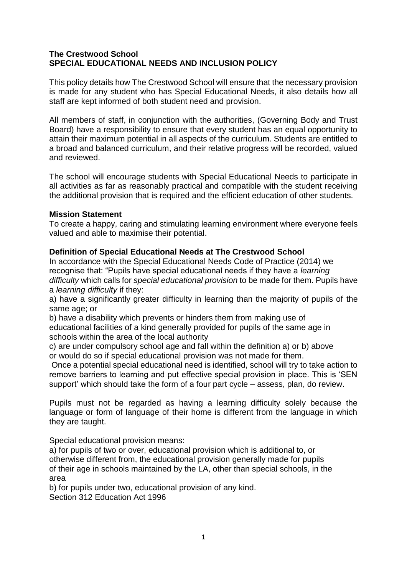## **The Crestwood School SPECIAL EDUCATIONAL NEEDS AND INCLUSION POLICY**

This policy details how The Crestwood School will ensure that the necessary provision is made for any student who has Special Educational Needs, it also details how all staff are kept informed of both student need and provision.

All members of staff, in conjunction with the authorities, (Governing Body and Trust Board) have a responsibility to ensure that every student has an equal opportunity to attain their maximum potential in all aspects of the curriculum. Students are entitled to a broad and balanced curriculum, and their relative progress will be recorded, valued and reviewed.

The school will encourage students with Special Educational Needs to participate in all activities as far as reasonably practical and compatible with the student receiving the additional provision that is required and the efficient education of other students.

## **Mission Statement**

To create a happy, caring and stimulating learning environment where everyone feels valued and able to maximise their potential.

## **Definition of Special Educational Needs at The Crestwood School**

In accordance with the Special Educational Needs Code of Practice (2014) we recognise that: "Pupils have special educational needs if they have a *learning difficulty* which calls for *special educational provision* to be made for them. Pupils have a *learning difficulty* if they:

a) have a significantly greater difficulty in learning than the majority of pupils of the same age; or

b) have a disability which prevents or hinders them from making use of educational facilities of a kind generally provided for pupils of the same age in schools within the area of the local authority

c) are under compulsory school age and fall within the definition a) or b) above or would do so if special educational provision was not made for them.

Once a potential special educational need is identified, school will try to take action to remove barriers to learning and put effective special provision in place. This is 'SEN support' which should take the form of a four part cycle – assess, plan, do review.

Pupils must not be regarded as having a learning difficulty solely because the language or form of language of their home is different from the language in which they are taught.

Special educational provision means:

a) for pupils of two or over, educational provision which is additional to, or otherwise different from, the educational provision generally made for pupils of their age in schools maintained by the LA, other than special schools, in the area

b) for pupils under two, educational provision of any kind. Section 312 Education Act 1996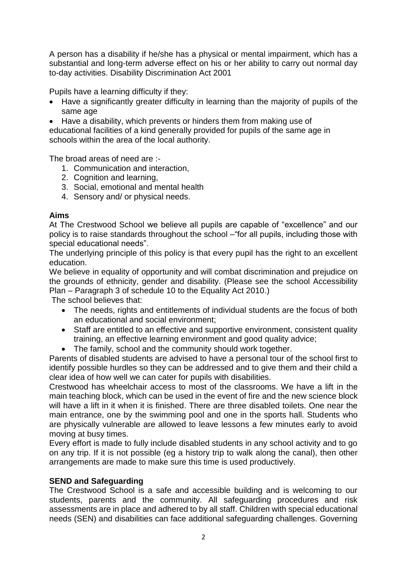A person has a disability if he/she has a physical or mental impairment, which has a substantial and long-term adverse effect on his or her ability to carry out normal day to-day activities. Disability Discrimination Act 2001

Pupils have a learning difficulty if they:

- Have a significantly greater difficulty in learning than the majority of pupils of the same age
- Have a disability, which prevents or hinders them from making use of

educational facilities of a kind generally provided for pupils of the same age in schools within the area of the local authority.

The broad areas of need are :-

- 1. Communication and interaction,
- 2. Cognition and learning.
- 3. Social, emotional and mental health
- 4. Sensory and/ or physical needs.

## **Aims**

At The Crestwood School we believe all pupils are capable of "excellence" and our policy is to raise standards throughout the school –"for all pupils, including those with special educational needs".

The underlying principle of this policy is that every pupil has the right to an excellent education.

We believe in equality of opportunity and will combat discrimination and prejudice on the grounds of ethnicity, gender and disability. (Please see the school Accessibility Plan – Paragraph 3 of schedule 10 to the Equality Act 2010.)

The school believes that:

- The needs, rights and entitlements of individual students are the focus of both an educational and social environment;
- Staff are entitled to an effective and supportive environment, consistent quality training, an effective learning environment and good quality advice;
- The family, school and the community should work together.

Parents of disabled students are advised to have a personal tour of the school first to identify possible hurdles so they can be addressed and to give them and their child a clear idea of how well we can cater for pupils with disabilities.

Crestwood has wheelchair access to most of the classrooms. We have a lift in the main teaching block, which can be used in the event of fire and the new science block will have a lift in it when it is finished. There are three disabled toilets. One near the main entrance, one by the swimming pool and one in the sports hall. Students who are physically vulnerable are allowed to leave lessons a few minutes early to avoid moving at busy times.

Every effort is made to fully include disabled students in any school activity and to go on any trip. If it is not possible (eg a history trip to walk along the canal), then other arrangements are made to make sure this time is used productively.

## **SEND and Safeguarding**

The Crestwood School is a safe and accessible building and is welcoming to our students, parents and the community. All safeguarding procedures and risk assessments are in place and adhered to by all staff. Children with special educational needs (SEN) and disabilities can face additional safeguarding challenges. Governing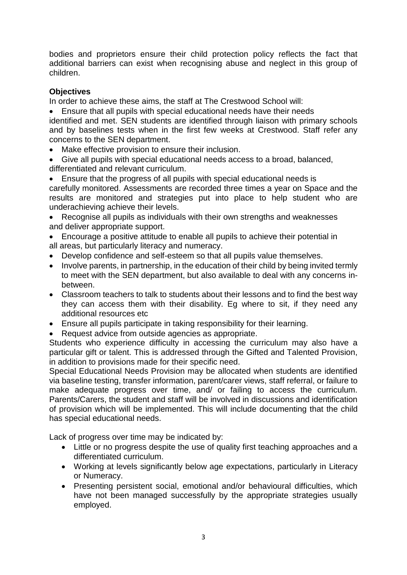bodies and proprietors ensure their child protection policy reflects the fact that additional barriers can exist when recognising abuse and neglect in this group of children.

# **Objectives**

In order to achieve these aims, the staff at The Crestwood School will:

• Ensure that all pupils with special educational needs have their needs identified and met. SEN students are identified through liaison with primary schools and by baselines tests when in the first few weeks at Crestwood. Staff refer any concerns to the SEN department.

- Make effective provision to ensure their inclusion.
- Give all pupils with special educational needs access to a broad, balanced, differentiated and relevant curriculum.

• Ensure that the progress of all pupils with special educational needs is carefully monitored. Assessments are recorded three times a year on Space and the results are monitored and strategies put into place to help student who are underachieving achieve their levels.

• Recognise all pupils as individuals with their own strengths and weaknesses and deliver appropriate support.

• Encourage a positive attitude to enable all pupils to achieve their potential in all areas, but particularly literacy and numeracy.

- Develop confidence and self-esteem so that all pupils value themselves.
- Involve parents, in partnership, in the education of their child by being invited termly to meet with the SEN department, but also available to deal with any concerns inbetween.
- Classroom teachers to talk to students about their lessons and to find the best way they can access them with their disability. Eg where to sit, if they need any additional resources etc
- Ensure all pupils participate in taking responsibility for their learning.
- Request advice from outside agencies as appropriate.

Students who experience difficulty in accessing the curriculum may also have a particular gift or talent. This is addressed through the Gifted and Talented Provision, in addition to provisions made for their specific need.

Special Educational Needs Provision may be allocated when students are identified via baseline testing, transfer information, parent/carer views, staff referral, or failure to make adequate progress over time, and/ or failing to access the curriculum. Parents/Carers, the student and staff will be involved in discussions and identification of provision which will be implemented. This will include documenting that the child has special educational needs.

Lack of progress over time may be indicated by:

- Little or no progress despite the use of quality first teaching approaches and a differentiated curriculum.
- Working at levels significantly below age expectations, particularly in Literacy or Numeracy.
- Presenting persistent social, emotional and/or behavioural difficulties, which have not been managed successfully by the appropriate strategies usually employed.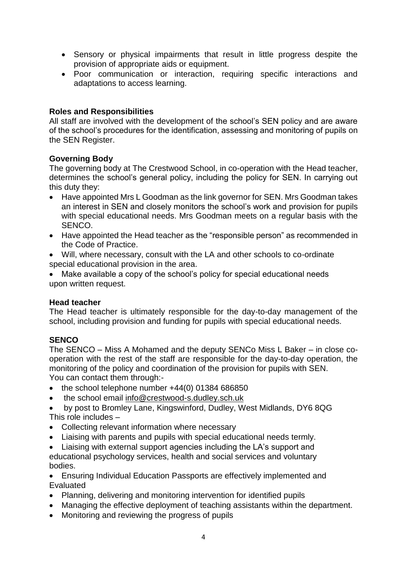- Sensory or physical impairments that result in little progress despite the provision of appropriate aids or equipment.
- Poor communication or interaction, requiring specific interactions and adaptations to access learning.

## **Roles and Responsibilities**

All staff are involved with the development of the school's SEN policy and are aware of the school's procedures for the identification, assessing and monitoring of pupils on the SEN Register.

## **Governing Body**

The governing body at The Crestwood School, in co-operation with the Head teacher, determines the school's general policy, including the policy for SEN. In carrying out this duty they:

- Have appointed Mrs L Goodman as the link governor for SEN. Mrs Goodman takes an interest in SEN and closely monitors the school's work and provision for pupils with special educational needs. Mrs Goodman meets on a regular basis with the SENCO.
- Have appointed the Head teacher as the "responsible person" as recommended in the Code of Practice.
- Will, where necessary, consult with the LA and other schools to co-ordinate special educational provision in the area.
- Make available a copy of the school's policy for special educational needs upon written request.

# **Head teacher**

The Head teacher is ultimately responsible for the day-to-day management of the school, including provision and funding for pupils with special educational needs.

# **SENCO**

The SENCO – Miss A Mohamed and the deputy SENCo Miss L Baker – in close cooperation with the rest of the staff are responsible for the day-to-day operation, the monitoring of the policy and coordination of the provision for pupils with SEN. You can contact them through:-

- the school telephone number +44(0) 01384 686850
- the school email [info@crestwood-s.dudley.sch.uk](mailto:info@crestwood-s.dudley.sch.uk)
- by post to Bromley Lane, Kingswinford, Dudley, West Midlands, DY6 8QG This role includes –
- Collecting relevant information where necessary
- Liaising with parents and pupils with special educational needs termly.
- Liaising with external support agencies including the LA's support and educational psychology services, health and social services and voluntary bodies.
- Ensuring Individual Education Passports are effectively implemented and Evaluated
- Planning, delivering and monitoring intervention for identified pupils
- Managing the effective deployment of teaching assistants within the department.
- Monitoring and reviewing the progress of pupils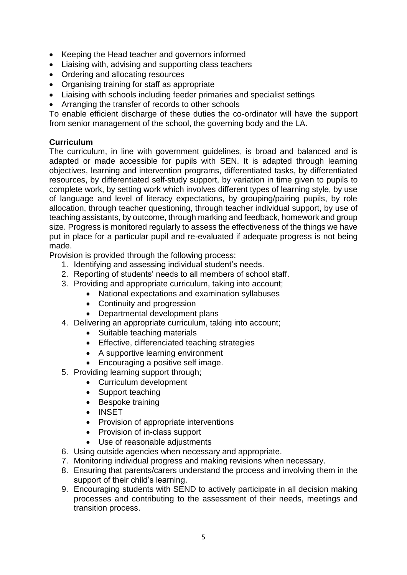- Keeping the Head teacher and governors informed
- Liaising with, advising and supporting class teachers
- Ordering and allocating resources
- Organising training for staff as appropriate
- Liaising with schools including feeder primaries and specialist settings
- Arranging the transfer of records to other schools

To enable efficient discharge of these duties the co-ordinator will have the support from senior management of the school, the governing body and the LA.

# **Curriculum**

The curriculum, in line with government guidelines, is broad and balanced and is adapted or made accessible for pupils with SEN. It is adapted through learning objectives, learning and intervention programs, differentiated tasks, by differentiated resources, by differentiated self-study support, by variation in time given to pupils to complete work, by setting work which involves different types of learning style, by use of language and level of literacy expectations, by grouping/pairing pupils, by role allocation, through teacher questioning, through teacher individual support, by use of teaching assistants, by outcome, through marking and feedback, homework and group size. Progress is monitored regularly to assess the effectiveness of the things we have put in place for a particular pupil and re-evaluated if adequate progress is not being made.

Provision is provided through the following process:

- 1. Identifying and assessing individual student's needs.
- 2. Reporting of students' needs to all members of school staff.
- 3. Providing and appropriate curriculum, taking into account;
	- National expectations and examination syllabuses
	- Continuity and progression
	- Departmental development plans
- 4. Delivering an appropriate curriculum, taking into account;
	- Suitable teaching materials
	- Effective, differenciated teaching strategies
	- A supportive learning environment
	- Encouraging a positive self image.
- 5. Providing learning support through;
	- Curriculum development
	- Support teaching
	- Bespoke training
	- INSET
	- Provision of appropriate interventions
	- Provision of in-class support
	- Use of reasonable adjustments
- 6. Using outside agencies when necessary and appropriate.
- 7. Monitoring individual progress and making revisions when necessary.
- 8. Ensuring that parents/carers understand the process and involving them in the support of their child's learning.
- 9. Encouraging students with SEND to actively participate in all decision making processes and contributing to the assessment of their needs, meetings and transition process.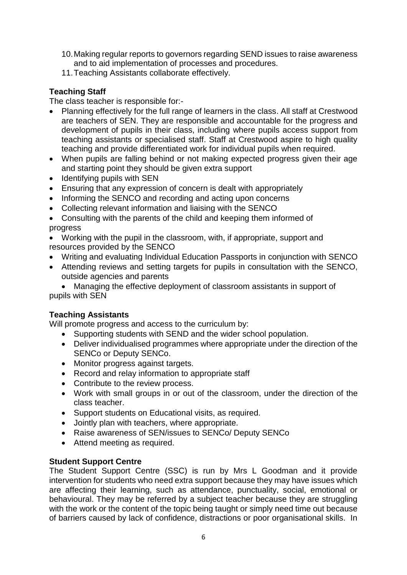- 10.Making regular reports to governors regarding SEND issues to raise awareness and to aid implementation of processes and procedures.
- 11.Teaching Assistants collaborate effectively.

# **Teaching Staff**

The class teacher is responsible for:-

- Planning effectively for the full range of learners in the class. All staff at Crestwood are teachers of SEN. They are responsible and accountable for the progress and development of pupils in their class, including where pupils access support from teaching assistants or specialised staff. Staff at Crestwood aspire to high quality teaching and provide differentiated work for individual pupils when required.
- When pupils are falling behind or not making expected progress given their age and starting point they should be given extra support
- Identifying pupils with SEN
- Ensuring that any expression of concern is dealt with appropriately
- Informing the SENCO and recording and acting upon concerns
- Collecting relevant information and liaising with the SENCO
- Consulting with the parents of the child and keeping them informed of progress
- Working with the pupil in the classroom, with, if appropriate, support and resources provided by the SENCO
- Writing and evaluating Individual Education Passports in conjunction with SENCO
- Attending reviews and setting targets for pupils in consultation with the SENCO, outside agencies and parents

• Managing the effective deployment of classroom assistants in support of pupils with SEN

## **Teaching Assistants**

Will promote progress and access to the curriculum by:

- Supporting students with SEND and the wider school population.
- Deliver individualised programmes where appropriate under the direction of the SENCo or Deputy SENCo.
- Monitor progress against targets.
- Record and relay information to appropriate staff
- Contribute to the review process.
- Work with small groups in or out of the classroom, under the direction of the class teacher.
- Support students on Educational visits, as required.
- Jointly plan with teachers, where appropriate.
- Raise awareness of SEN/issues to SENCo/ Deputy SENCo
- Attend meeting as required.

## **Student Support Centre**

The Student Support Centre (SSC) is run by Mrs L Goodman and it provide intervention for students who need extra support because they may have issues which are affecting their learning, such as attendance, punctuality, social, emotional or behavioural. They may be referred by a subject teacher because they are struggling with the work or the content of the topic being taught or simply need time out because of barriers caused by lack of confidence, distractions or poor organisational skills. In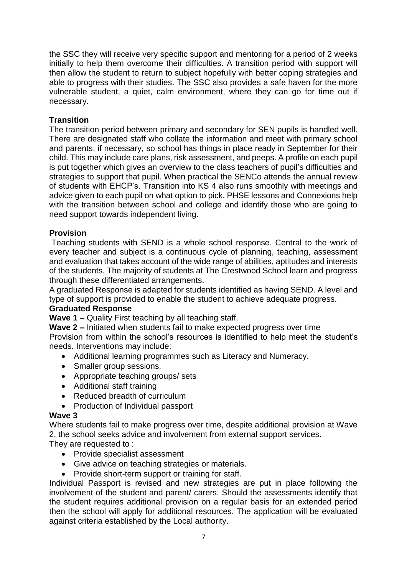the SSC they will receive very specific support and mentoring for a period of 2 weeks initially to help them overcome their difficulties. A transition period with support will then allow the student to return to subject hopefully with better coping strategies and able to progress with their studies. The SSC also provides a safe haven for the more vulnerable student, a quiet, calm environment, where they can go for time out if necessary.

## **Transition**

The transition period between primary and secondary for SEN pupils is handled well. There are designated staff who collate the information and meet with primary school and parents, if necessary, so school has things in place ready in September for their child. This may include care plans, risk assessment, and peeps. A profile on each pupil is put together which gives an overview to the class teachers of pupil's difficulties and strategies to support that pupil. When practical the SENCo attends the annual review of students with EHCP's. Transition into KS 4 also runs smoothly with meetings and advice given to each pupil on what option to pick. PHSE lessons and Connexions help with the transition between school and college and identify those who are going to need support towards independent living.

## **Provision**

Teaching students with SEND is a whole school response. Central to the work of every teacher and subject is a continuous cycle of planning, teaching, assessment and evaluation that takes account of the wide range of abilities, aptitudes and interests of the students. The majority of students at The Crestwood School learn and progress through these differentiated arrangements.

A graduated Response is adapted for students identified as having SEND. A level and type of support is provided to enable the student to achieve adequate progress.

## **Graduated Response**

**Wave 1 –** Quality First teaching by all teaching staff.

**Wave 2 –** Initiated when students fail to make expected progress over time Provision from within the school's resources is identified to help meet the student's needs. Interventions may include:

- Additional learning programmes such as Literacy and Numeracy.
- Smaller group sessions.
- Appropriate teaching groups/ sets
- Additional staff training
- Reduced breadth of curriculum
- Production of Individual passport

## **Wave 3**

Where students fail to make progress over time, despite additional provision at Wave 2, the school seeks advice and involvement from external support services.

They are requested to :

- Provide specialist assessment
- Give advice on teaching strategies or materials.
- Provide short-term support or training for staff.

Individual Passport is revised and new strategies are put in place following the involvement of the student and parent/ carers. Should the assessments identify that the student requires additional provision on a regular basis for an extended period then the school will apply for additional resources. The application will be evaluated against criteria established by the Local authority.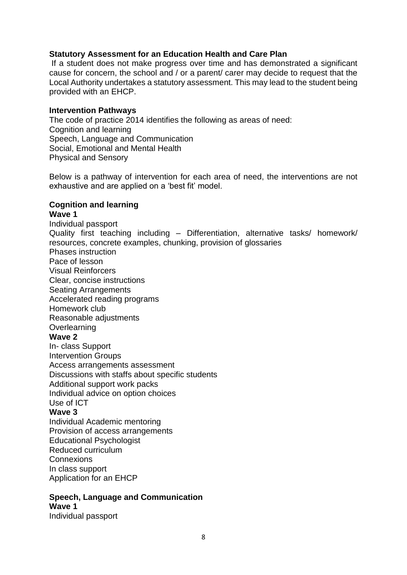## **Statutory Assessment for an Education Health and Care Plan**

If a student does not make progress over time and has demonstrated a significant cause for concern, the school and / or a parent/ carer may decide to request that the Local Authority undertakes a statutory assessment. This may lead to the student being provided with an EHCP.

#### **Intervention Pathways**

The code of practice 2014 identifies the following as areas of need: Cognition and learning Speech, Language and Communication Social, Emotional and Mental Health Physical and Sensory

Below is a pathway of intervention for each area of need, the interventions are not exhaustive and are applied on a 'best fit' model.

# **Cognition and learning**

## **Wave 1**

Individual passport Quality first teaching including – Differentiation, alternative tasks/ homework/ resources, concrete examples, chunking, provision of glossaries Phases instruction Pace of lesson Visual Reinforcers Clear, concise instructions Seating Arrangements Accelerated reading programs Homework club Reasonable adjustments **Overlearning Wave 2** In- class Support Intervention Groups Access arrangements assessment Discussions with staffs about specific students Additional support work packs Individual advice on option choices Use of ICT **Wave 3** Individual Academic mentoring Provision of access arrangements Educational Psychologist Reduced curriculum **Connexions** In class support Application for an EHCP

#### **Speech, Language and Communication Wave 1**

Individual passport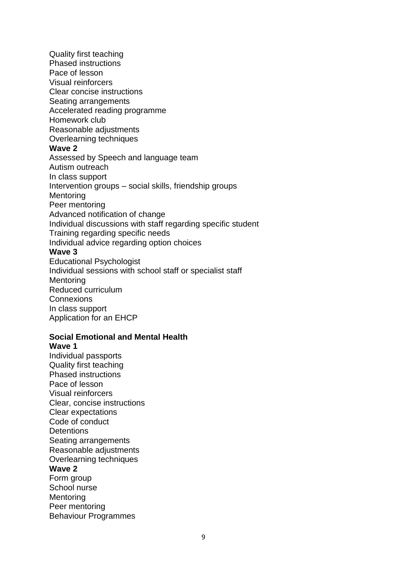Quality first teaching Phased instructions Pace of lesson Visual reinforcers Clear concise instructions Seating arrangements Accelerated reading programme Homework club Reasonable adjustments Overlearning techniques **Wave 2** Assessed by Speech and language team Autism outreach In class support Intervention groups – social skills, friendship groups **Mentoring** Peer mentoring Advanced notification of change Individual discussions with staff regarding specific student Training regarding specific needs Individual advice regarding option choices **Wave 3** Educational Psychologist Individual sessions with school staff or specialist staff **Mentoring** Reduced curriculum **Connexions** 

In class support Application for an EHCP

#### **Social Emotional and Mental Health**

#### **Wave 1**

Individual passports Quality first teaching Phased instructions Pace of lesson Visual reinforcers Clear, concise instructions Clear expectations Code of conduct **Detentions** Seating arrangements Reasonable adjustments Overlearning techniques **Wave 2** Form group School nurse **Mentoring** Peer mentoring Behaviour Programmes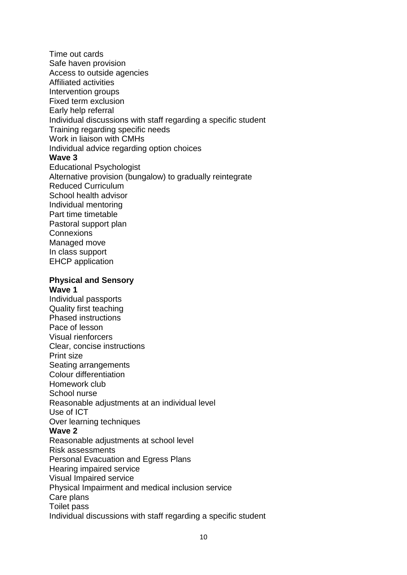Time out cards Safe haven provision Access to outside agencies Affiliated activities Intervention groups Fixed term exclusion Early help referral Individual discussions with staff regarding a specific student Training regarding specific needs Work in liaison with CMHs Individual advice regarding option choices **Wave 3** Educational Psychologist Alternative provision (bungalow) to gradually reintegrate Reduced Curriculum School health advisor Individual mentoring Part time timetable Pastoral support plan **Connexions** Managed move In class support EHCP application **Physical and Sensory Wave 1** Individual passports Quality first teaching Phased instructions Pace of lesson Visual rienforcers Clear, concise instructions Print size Seating arrangements Colour differentiation Homework club School nurse Reasonable adjustments at an individual level Use of ICT Over learning techniques **Wave 2** Reasonable adjustments at school level Risk assessments Personal Evacuation and Egress Plans Hearing impaired service Visual Impaired service Physical Impairment and medical inclusion service Care plans Toilet pass Individual discussions with staff regarding a specific student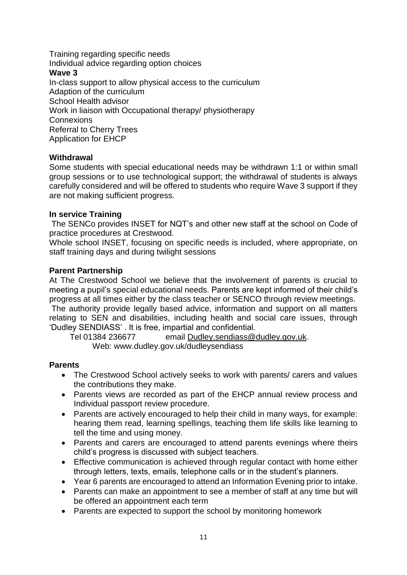Training regarding specific needs Individual advice regarding option choices **Wave 3** In-class support to allow physical access to the curriculum Adaption of the curriculum School Health advisor Work in liaison with Occupational therapy/ physiotherapy **Connexions** Referral to Cherry Trees Application for EHCP

## **Withdrawal**

Some students with special educational needs may be withdrawn 1:1 or within small group sessions or to use technological support; the withdrawal of students is always carefully considered and will be offered to students who require Wave 3 support if they are not making sufficient progress.

## **In service Training**

The SENCo provides INSET for NQT's and other new staff at the school on Code of practice procedures at Crestwood.

Whole school INSET, focusing on specific needs is included, where appropriate, on staff training days and during twilight sessions

## **Parent Partnership**

At The Crestwood School we believe that the involvement of parents is crucial to meeting a pupil's special educational needs. Parents are kept informed of their child's progress at all times either by the class teacher or SENCO through review meetings. The authority provide legally based advice, information and support on all matters relating to SEN and disabilities, including health and social care issues, through 'Dudley SENDIASS' . It is free, impartial and confidential.

Tel 01384 236677 email [Dudley.sendiass@dudley.gov.uk.](mailto:Dudley.sendiass@dudley.gov.uk)

Web: www.dudley.gov.uk/dudleysendiass

## **Parents**

- The Crestwood School actively seeks to work with parents/ carers and values the contributions they make.
- Parents views are recorded as part of the EHCP annual review process and Individual passport review procedure.
- Parents are actively encouraged to help their child in many ways, for example: hearing them read, learning spellings, teaching them life skills like learning to tell the time and using money.
- Parents and carers are encouraged to attend parents evenings where theirs child's progress is discussed with subject teachers.
- Effective communication is achieved through regular contact with home either through letters, texts, emails, telephone calls or in the student's planners.
- Year 6 parents are encouraged to attend an Information Evening prior to intake.
- Parents can make an appointment to see a member of staff at any time but will be offered an appointment each term
- Parents are expected to support the school by monitoring homework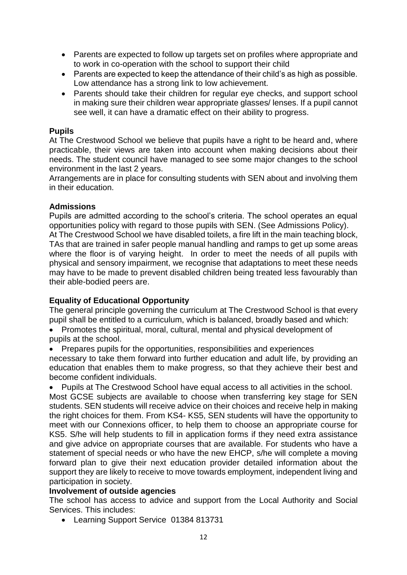- Parents are expected to follow up targets set on profiles where appropriate and to work in co-operation with the school to support their child
- Parents are expected to keep the attendance of their child's as high as possible. Low attendance has a strong link to low achievement.
- Parents should take their children for regular eye checks, and support school in making sure their children wear appropriate glasses/ lenses. If a pupil cannot see well, it can have a dramatic effect on their ability to progress.

## **Pupils**

At The Crestwood School we believe that pupils have a right to be heard and, where practicable, their views are taken into account when making decisions about their needs. The student council have managed to see some major changes to the school environment in the last 2 years.

Arrangements are in place for consulting students with SEN about and involving them in their education.

## **Admissions**

Pupils are admitted according to the school's criteria. The school operates an equal opportunities policy with regard to those pupils with SEN. (See Admissions Policy). At The Crestwood School we have disabled toilets, a fire lift in the main teaching block, TAs that are trained in safer people manual handling and ramps to get up some areas where the floor is of varying height. In order to meet the needs of all pupils with physical and sensory impairment, we recognise that adaptations to meet these needs may have to be made to prevent disabled children being treated less favourably than their able-bodied peers are.

# **Equality of Educational Opportunity**

The general principle governing the curriculum at The Crestwood School is that every pupil shall be entitled to a curriculum, which is balanced, broadly based and which:

• Promotes the spiritual, moral, cultural, mental and physical development of pupils at the school.

• Prepares pupils for the opportunities, responsibilities and experiences necessary to take them forward into further education and adult life, by providing an education that enables them to make progress, so that they achieve their best and become confident individuals.

• Pupils at The Crestwood School have equal access to all activities in the school. Most GCSE subjects are available to choose when transferring key stage for SEN students. SEN students will receive advice on their choices and receive help in making the right choices for them. From KS4- KS5, SEN students will have the opportunity to meet with our Connexions officer, to help them to choose an appropriate course for KS5. S/he will help students to fill in application forms if they need extra assistance and give advice on appropriate courses that are available. For students who have a statement of special needs or who have the new EHCP, s/he will complete a moving forward plan to give their next education provider detailed information about the support they are likely to receive to move towards employment, independent living and participation in society.

## **Involvement of outside agencies**

The school has access to advice and support from the Local Authority and Social Services. This includes:

• Learning Support Service 01384 813731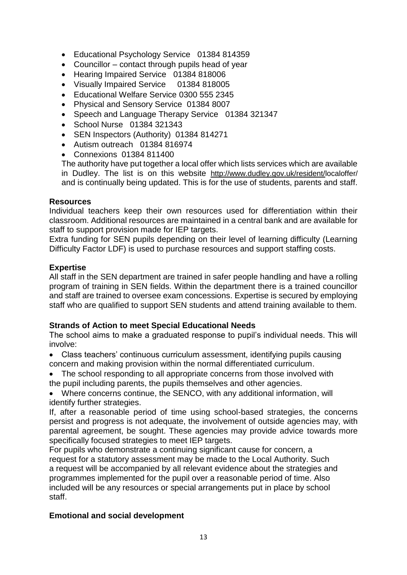- Educational Psychology Service 01384 814359
- Councillor contact through pupils head of year
- Hearing Impaired Service 01384 818006
- Visually Impaired Service 01384 818005
- Fducational Welfare Service 0300 555 2345
- Physical and Sensory Service 01384 8007
- Speech and Language Therapy Service 01384 321347
- School Nurse 01384 321343
- SEN Inspectors (Authority) 01384 814271
- Autism outreach 01384 816974
- Connexions 01384 811400

The authority have put together a local offer which lists services which are available in Dudley. The list is on this website [http://www.dudley.gov.uk/resident/l](http://www.dudley.gov.uk/resident/local)ocaloffer/ and is continually being updated. This is for the use of students, parents and staff.

#### **Resources**

Individual teachers keep their own resources used for differentiation within their classroom. Additional resources are maintained in a central bank and are available for staff to support provision made for IEP targets.

Extra funding for SEN pupils depending on their level of learning difficulty (Learning Difficulty Factor LDF) is used to purchase resources and support staffing costs.

#### **Expertise**

All staff in the SEN department are trained in safer people handling and have a rolling program of training in SEN fields. Within the department there is a trained councillor and staff are trained to oversee exam concessions. Expertise is secured by employing staff who are qualified to support SEN students and attend training available to them.

## **Strands of Action to meet Special Educational Needs**

The school aims to make a graduated response to pupil's individual needs. This will involve:

- Class teachers' continuous curriculum assessment, identifying pupils causing concern and making provision within the normal differentiated curriculum.
- The school responding to all appropriate concerns from those involved with the pupil including parents, the pupils themselves and other agencies.

• Where concerns continue, the SENCO, with any additional information, will identify further strategies.

If, after a reasonable period of time using school-based strategies, the concerns persist and progress is not adequate, the involvement of outside agencies may, with parental agreement, be sought. These agencies may provide advice towards more specifically focused strategies to meet IEP targets.

For pupils who demonstrate a continuing significant cause for concern, a request for a statutory assessment may be made to the Local Authority. Such a request will be accompanied by all relevant evidence about the strategies and programmes implemented for the pupil over a reasonable period of time. Also included will be any resources or special arrangements put in place by school staff.

## **Emotional and social development**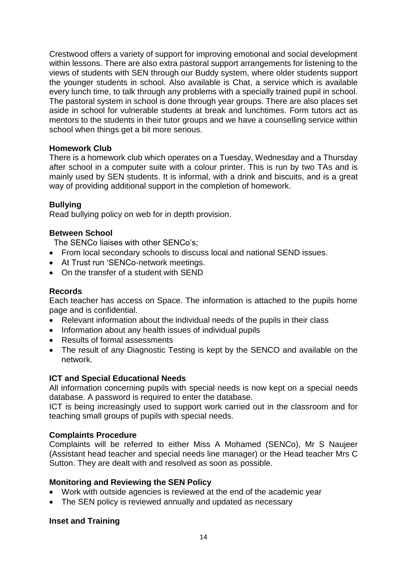Crestwood offers a variety of support for improving emotional and social development within lessons. There are also extra pastoral support arrangements for listening to the views of students with SEN through our Buddy system, where older students support the younger students in school. Also available is Chat, a service which is available every lunch time, to talk through any problems with a specially trained pupil in school. The pastoral system in school is done through year groups. There are also places set aside in school for vulnerable students at break and lunchtimes. Form tutors act as mentors to the students in their tutor groups and we have a counselling service within school when things get a bit more serious.

## **Homework Club**

There is a homework club which operates on a Tuesday, Wednesday and a Thursday after school in a computer suite with a colour printer. This is run by two TAs and is mainly used by SEN students. It is informal, with a drink and biscuits, and is a great way of providing additional support in the completion of homework.

## **Bullying**

Read bullying policy on web for in depth provision.

## **Between School**

The SENCo liaises with other SENCo's;

- From local secondary schools to discuss local and national SEND issues.
- At Trust run 'SENCo-network meetings.
- On the transfer of a student with SEND

## **Records**

Each teacher has access on Space. The information is attached to the pupils home page and is confidential.

- Relevant information about the individual needs of the pupils in their class
- Information about any health issues of individual pupils
- Results of formal assessments
- The result of any Diagnostic Testing is kept by the SENCO and available on the network.

## **ICT and Special Educational Needs**

All information concerning pupils with special needs is now kept on a special needs database. A password is required to enter the database.

ICT is being increasingly used to support work carried out in the classroom and for teaching small groups of pupils with special needs.

## **Complaints Procedure**

Complaints will be referred to either Miss A Mohamed (SENCo), Mr S Naujeer (Assistant head teacher and special needs line manager) or the Head teacher Mrs C Sutton. They are dealt with and resolved as soon as possible.

## **Monitoring and Reviewing the SEN Policy**

- Work with outside agencies is reviewed at the end of the academic year
- The SEN policy is reviewed annually and updated as necessary

# **Inset and Training**